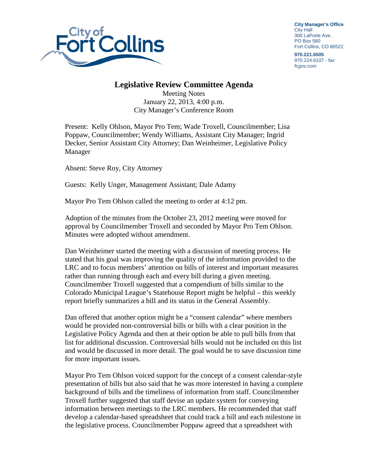

**City Manager's Office** City Hall 300 LaPorte Ave. PO Box 580 Fort Collins, CO 80522

**970.221.6505** 970.224.6107 - fax *fcgov.com*

## **Legislative Review Committee Agenda**

Meeting Notes January 22, 2013, 4:00 p.m. City Manager's Conference Room

Present: Kelly Ohlson, Mayor Pro Tem; Wade Troxell, Councilmember; Lisa Poppaw, Councilmember; Wendy Williams, Assistant City Manager; Ingrid Decker, Senior Assistant City Attorney; Dan Weinheimer, Legislative Policy Manager

Absent: Steve Roy, City Attorney

Guests: Kelly Unger, Management Assistant; Dale Adamy

Mayor Pro Tem Ohlson called the meeting to order at 4:12 pm.

Adoption of the minutes from the October 23, 2012 meeting were moved for approval by Councilmember Troxell and seconded by Mayor Pro Tem Ohlson. Minutes were adopted without amendment.

Dan Weinheimer started the meeting with a discussion of meeting process. He stated that his goal was improving the quality of the information provided to the LRC and to focus members' attention on bills of interest and important measures rather than running through each and every bill during a given meeting. Councilmember Troxell suggested that a compendium of bills similar to the Colorado Municipal League's Statehouse Report might be helpful – this weekly report briefly summarizes a bill and its status in the General Assembly.

Dan offered that another option might be a "consent calendar" where members would be provided non-controversial bills or bills with a clear position in the Legislative Policy Agenda and then at their option be able to pull bills from that list for additional discussion. Controversial bills would not be included on this list and would be discussed in more detail. The goal would be to save discussion time for more important issues.

Mayor Pro Tem Ohlson voiced support for the concept of a consent calendar-style presentation of bills but also said that he was more interested in having a complete background of bills and the timeliness of information from staff. Councilmember Troxell further suggested that staff devise an update system for conveying information between meetings to the LRC members. He recommended that staff develop a calendar-based spreadsheet that could track a bill and each milestone in the legislative process. Councilmember Poppaw agreed that a spreadsheet with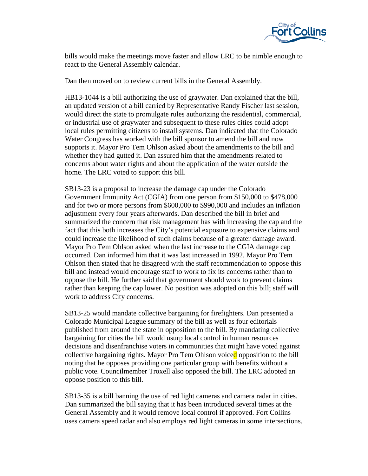

bills would make the meetings move faster and allow LRC to be nimble enough to react to the General Assembly calendar.

Dan then moved on to review current bills in the General Assembly.

HB13-1044 is a bill authorizing the use of graywater. Dan explained that the bill, an updated version of a bill carried by Representative Randy Fischer last session, would direct the state to promulgate rules authorizing the residential, commercial, or industrial use of graywater and subsequent to these rules cities could adopt local rules permitting citizens to install systems. Dan indicated that the Colorado Water Congress has worked with the bill sponsor to amend the bill and now supports it. Mayor Pro Tem Ohlson asked about the amendments to the bill and whether they had gutted it. Dan assured him that the amendments related to concerns about water rights and about the application of the water outside the home. The LRC voted to support this bill.

SB13-23 is a proposal to increase the damage cap under the Colorado Government Immunity Act (CGIA) from one person from \$150,000 to \$478,000 and for two or more persons from \$600,000 to \$990,000 and includes an inflation adjustment every four years afterwards. Dan described the bill in brief and summarized the concern that risk management has with increasing the cap and the fact that this both increases the City's potential exposure to expensive claims and could increase the likelihood of such claims because of a greater damage award. Mayor Pro Tem Ohlson asked when the last increase to the CGIA damage cap occurred. Dan informed him that it was last increased in 1992. Mayor Pro Tem Ohlson then stated that he disagreed with the staff recommendation to oppose this bill and instead would encourage staff to work to fix its concerns rather than to oppose the bill. He further said that government should work to prevent claims rather than keeping the cap lower. No position was adopted on this bill; staff will work to address City concerns.

SB13-25 would mandate collective bargaining for firefighters. Dan presented a Colorado Municipal League summary of the bill as well as four editorials published from around the state in opposition to the bill. By mandating collective bargaining for cities the bill would usurp local control in human resources decisions and disenfranchise voters in communities that might have voted against collective bargaining rights. Mayor Pro Tem Ohlson voiced opposition to the bill noting that he opposes providing one particular group with benefits without a public vote. Councilmember Troxell also opposed the bill. The LRC adopted an oppose position to this bill.

SB13-35 is a bill banning the use of red light cameras and camera radar in cities. Dan summarized the bill saying that it has been introduced several times at the General Assembly and it would remove local control if approved. Fort Collins uses camera speed radar and also employs red light cameras in some intersections.